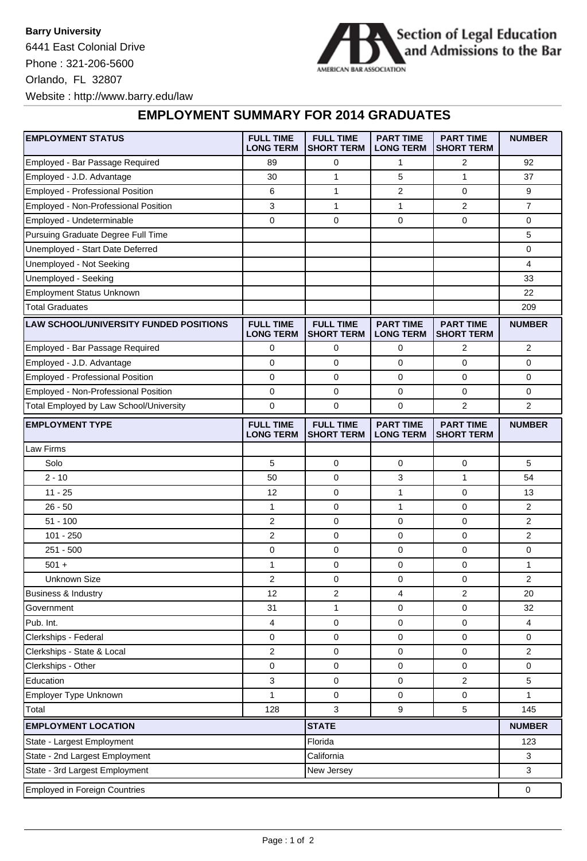**Barry University** 6441 East Colonial Drive Phone : 321-206-5600 Orlando, FL 32807 Website : http://www.barry.edu/law



## **EMPLOYMENT SUMMARY FOR 2014 GRADUATES**

| <b>EMPLOYMENT STATUS</b>                      | <b>FULL TIME</b><br><b>LONG TERM</b> | <b>FULL TIME</b><br><b>SHORT TERM</b> | <b>PART TIME</b><br><b>LONG TERM</b> | <b>PART TIME</b><br><b>SHORT TERM</b> | <b>NUMBER</b>  |
|-----------------------------------------------|--------------------------------------|---------------------------------------|--------------------------------------|---------------------------------------|----------------|
| Employed - Bar Passage Required               | 89                                   | 0                                     | 1                                    | 2                                     | 92             |
| Employed - J.D. Advantage                     | 30                                   | 1                                     | 5                                    | $\mathbf{1}$                          | 37             |
| <b>Employed - Professional Position</b>       | 6                                    | $\mathbf{1}$                          | $\overline{2}$                       | 0                                     | 9              |
| Employed - Non-Professional Position          | 3                                    | 1                                     | 1                                    | 2                                     | $\overline{7}$ |
| Employed - Undeterminable                     | $\mathbf 0$                          | $\mathbf 0$                           | $\mathbf 0$                          | $\mathbf{0}$                          | 0              |
| Pursuing Graduate Degree Full Time            |                                      |                                       |                                      |                                       | 5              |
| Unemployed - Start Date Deferred              |                                      |                                       |                                      |                                       | 0              |
| Unemployed - Not Seeking                      |                                      |                                       |                                      |                                       | 4              |
| Unemployed - Seeking                          |                                      |                                       |                                      |                                       | 33             |
| <b>Employment Status Unknown</b>              |                                      |                                       |                                      |                                       | 22             |
| <b>Total Graduates</b>                        |                                      |                                       |                                      |                                       | 209            |
| <b>LAW SCHOOL/UNIVERSITY FUNDED POSITIONS</b> | <b>FULL TIME</b><br><b>LONG TERM</b> | <b>FULL TIME</b><br><b>SHORT TERM</b> | <b>PART TIME</b><br><b>LONG TERM</b> | <b>PART TIME</b><br><b>SHORT TERM</b> | <b>NUMBER</b>  |
| Employed - Bar Passage Required               | 0                                    | 0                                     | 0                                    | 2                                     | $\overline{c}$ |
| Employed - J.D. Advantage                     | 0                                    | $\mathbf 0$                           | 0                                    | 0                                     | 0              |
| Employed - Professional Position              | 0                                    | 0                                     | $\mathbf 0$                          | 0                                     | 0              |
| Employed - Non-Professional Position          | 0                                    | 0                                     | 0                                    | 0                                     | 0              |
| Total Employed by Law School/University       | $\mathbf 0$                          | $\mathbf 0$                           | $\mathbf 0$                          | $\overline{2}$                        | $\overline{2}$ |
| <b>EMPLOYMENT TYPE</b>                        | <b>FULL TIME</b><br><b>LONG TERM</b> | <b>FULL TIME</b><br><b>SHORT TERM</b> | <b>PART TIME</b><br><b>LONG TERM</b> | <b>PART TIME</b><br><b>SHORT TERM</b> | <b>NUMBER</b>  |
| Law Firms                                     |                                      |                                       |                                      |                                       |                |
| Solo                                          | 5                                    | $\mathbf 0$                           | 0                                    | 0                                     | 5              |
| $2 - 10$                                      | 50                                   | $\mathbf 0$                           | 3                                    | $\mathbf{1}$                          | 54             |
| $11 - 25$                                     | 12                                   | 0                                     | 1                                    | 0                                     | 13             |
| $26 - 50$                                     | 1                                    | 0                                     | 1                                    | 0                                     | 2              |
| $51 - 100$                                    | $\boldsymbol{2}$                     | 0                                     | 0                                    | 0                                     | 2              |
| $101 - 250$                                   | 2                                    | 0                                     | $\mathbf 0$                          | 0                                     | 2              |
| $251 - 500$                                   | 0                                    | 0                                     | 0                                    | 0                                     | 0              |
| $501 +$                                       | 1                                    | $\mathbf 0$                           | $\mathbf 0$                          | 0                                     | 1              |
| <b>Unknown Size</b>                           | 2                                    | 0                                     | 0                                    | 0                                     | 2              |
| Business & Industry                           | 12                                   | 2                                     | 4                                    | 2                                     | 20             |
| Government                                    | 31                                   | $\mathbf{1}$                          | 0                                    | 0                                     | 32             |
| Pub. Int.                                     | $\overline{\mathbf{4}}$              | 0                                     | $\pmb{0}$                            | 0                                     | 4              |
| Clerkships - Federal                          | $\mathbf 0$                          | 0                                     | 0                                    | 0                                     | 0              |
| Clerkships - State & Local                    | $\sqrt{2}$                           | 0                                     | $\pmb{0}$                            | 0                                     | $\mathbf{2}$   |
| Clerkships - Other                            | 0                                    | 0                                     | $\mathbf 0$                          | 0                                     | 0              |
| Education                                     | 3                                    | 0                                     | 0                                    | 2                                     | 5              |
| Employer Type Unknown                         | $\mathbf{1}$                         | 0                                     | 0                                    | 0                                     | 1              |
| Total                                         | 128                                  | 3                                     | $\boldsymbol{9}$                     | 5                                     | 145            |
| <b>EMPLOYMENT LOCATION</b>                    |                                      | <b>STATE</b>                          |                                      |                                       | <b>NUMBER</b>  |
| State - Largest Employment                    |                                      | Florida                               |                                      |                                       | 123            |
| State - 2nd Largest Employment<br>California  |                                      |                                       |                                      |                                       | 3              |
| State - 3rd Largest Employment<br>New Jersey  |                                      |                                       |                                      |                                       | 3              |
| <b>Employed in Foreign Countries</b>          |                                      |                                       |                                      |                                       |                |